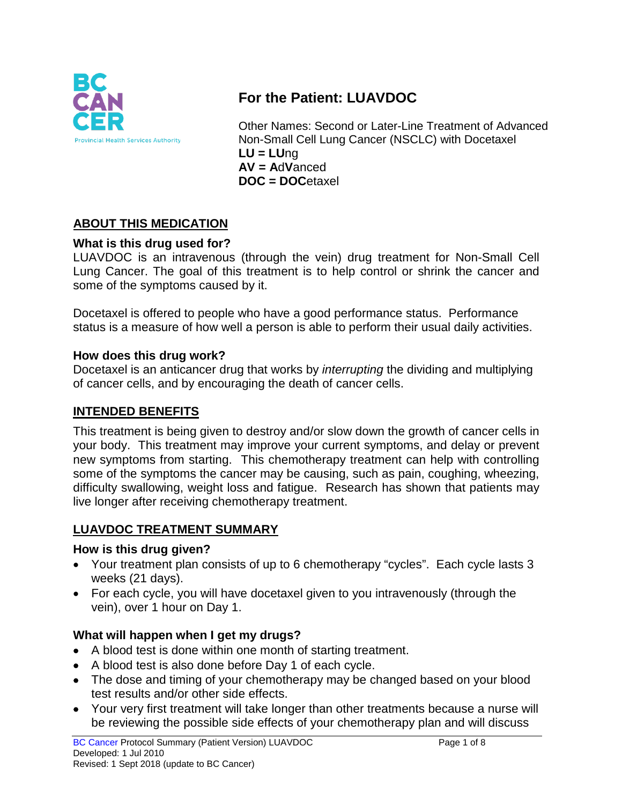

# **For the Patient: LUAVDOC**

Other Names: Second or Later-Line Treatment of Advanced Non-Small Cell Lung Cancer (NSCLC) with Docetaxel **LU = LU**ng **AV = A**d**V**anced **DOC = DOC**etaxel

# **ABOUT THIS MEDICATION**

#### **What is this drug used for?**

LUAVDOC is an intravenous (through the vein) drug treatment for Non-Small Cell Lung Cancer. The goal of this treatment is to help control or shrink the cancer and some of the symptoms caused by it.

Docetaxel is offered to people who have a good performance status. Performance status is a measure of how well a person is able to perform their usual daily activities.

#### **How does this drug work?**

Docetaxel is an anticancer drug that works by *interrupting* the dividing and multiplying of cancer cells, and by encouraging the death of cancer cells.

### **INTENDED BENEFITS**

This treatment is being given to destroy and/or slow down the growth of cancer cells in your body. This treatment may improve your current symptoms, and delay or prevent new symptoms from starting. This chemotherapy treatment can help with controlling some of the symptoms the cancer may be causing, such as pain, coughing, wheezing, difficulty swallowing, weight loss and fatigue. Research has shown that patients may live longer after receiving chemotherapy treatment.

### **LUAVDOC TREATMENT SUMMARY**

#### **How is this drug given?**

- Your treatment plan consists of up to 6 chemotherapy "cycles". Each cycle lasts 3 weeks (21 days).
- For each cycle, you will have docetaxel given to you intravenously (through the vein), over 1 hour on Day 1.

### **What will happen when I get my drugs?**

- A blood test is done within one month of starting treatment.
- A blood test is also done before Day 1 of each cycle.
- The dose and timing of your chemotherapy may be changed based on your blood test results and/or other side effects.
- Your very first treatment will take longer than other treatments because a nurse will be reviewing the possible side effects of your chemotherapy plan and will discuss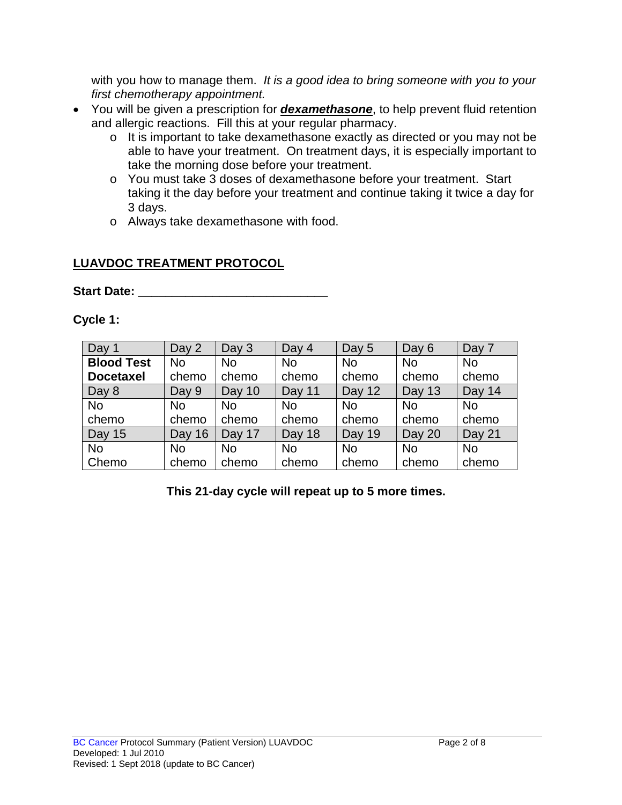with you how to manage them. *It is a good idea to bring someone with you to your first chemotherapy appointment.*

- You will be given a prescription for *dexamethasone*, to help prevent fluid retention and allergic reactions. Fill this at your regular pharmacy.
	- o It is important to take dexamethasone exactly as directed or you may not be able to have your treatment. On treatment days, it is especially important to take the morning dose before your treatment.
	- o You must take 3 doses of dexamethasone before your treatment. Start taking it the day before your treatment and continue taking it twice a day for 3 days.
	- o Always take dexamethasone with food.

# **LUAVDOC TREATMENT PROTOCOL**

Start Date: **With Start Date: Start Date: All 2008** 

**Cycle 1:**

| Day 1             | Day 2     | Day 3     | Day 4     | Day 5     | Day 6         | Day 7     |
|-------------------|-----------|-----------|-----------|-----------|---------------|-----------|
| <b>Blood Test</b> | <b>No</b> | <b>No</b> | <b>No</b> | <b>No</b> | <b>No</b>     | <b>No</b> |
| <b>Docetaxel</b>  | chemo     | chemo     | chemo     | chemo     | chemo         | chemo     |
| Day 8             | Day 9     | Day 10    | Day 11    | Day 12    | <b>Day 13</b> | Day 14    |
| No                | No        | <b>No</b> | <b>No</b> | <b>No</b> | No            | <b>No</b> |
| chemo             | chemo     | chemo     | chemo     | chemo     | chemo         | chemo     |
| <b>Day 15</b>     | Day 16    | Day 17    | Day 18    | Day 19    | Day 20        | Day 21    |
| No                | No        | <b>No</b> | <b>No</b> | <b>No</b> | No            | <b>No</b> |
| Chemo             | chemo     | chemo     | chemo     | chemo     | chemo         | chemo     |

**This 21-day cycle will repeat up to 5 more times.**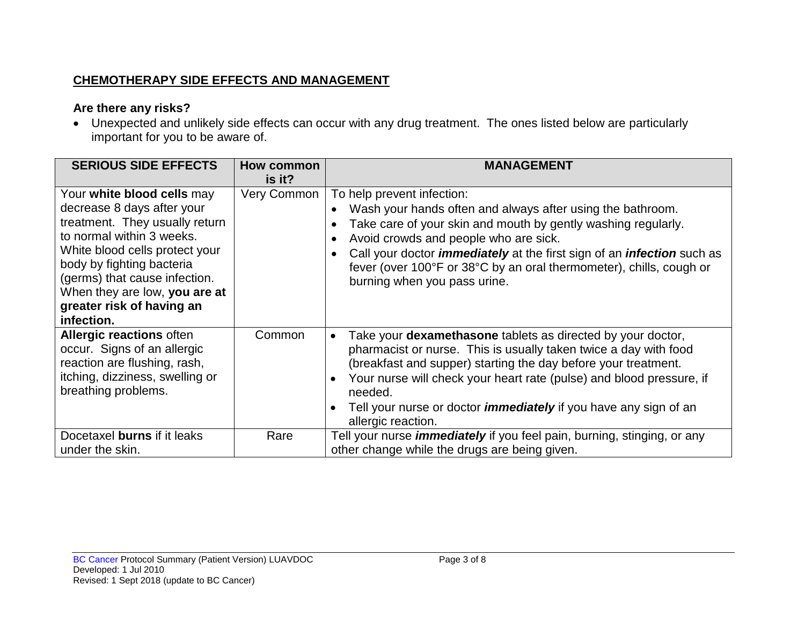# **CHEMOTHERAPY SIDE EFFECTS AND MANAGEMENT**

# **Are there any risks?**

• Unexpected and unlikely side effects can occur with any drug treatment. The ones listed below are particularly important for you to be aware of.

| <b>SERIOUS SIDE EFFECTS</b>                                                                                                                                                                                                                                                                         | How common<br>is it? | <b>MANAGEMENT</b>                                                                                                                                                                                                                                                                                                                                                                                                                   |
|-----------------------------------------------------------------------------------------------------------------------------------------------------------------------------------------------------------------------------------------------------------------------------------------------------|----------------------|-------------------------------------------------------------------------------------------------------------------------------------------------------------------------------------------------------------------------------------------------------------------------------------------------------------------------------------------------------------------------------------------------------------------------------------|
| Your white blood cells may<br>decrease 8 days after your<br>treatment. They usually return<br>to normal within 3 weeks.<br>White blood cells protect your<br>body by fighting bacteria<br>(germs) that cause infection.<br>When they are low, you are at<br>greater risk of having an<br>infection. | Very Common          | To help prevent infection:<br>Wash your hands often and always after using the bathroom.<br>$\bullet$<br>Take care of your skin and mouth by gently washing regularly.<br>$\bullet$<br>Avoid crowds and people who are sick.<br>Call your doctor <i>immediately</i> at the first sign of an <i>infection</i> such as<br>fever (over 100°F or 38°C by an oral thermometer), chills, cough or<br>burning when you pass urine.         |
| <b>Allergic reactions often</b><br>occur. Signs of an allergic<br>reaction are flushing, rash,<br>itching, dizziness, swelling or<br>breathing problems.                                                                                                                                            | Common               | Take your <b>dexamethasone</b> tablets as directed by your doctor,<br>$\bullet$<br>pharmacist or nurse. This is usually taken twice a day with food<br>(breakfast and supper) starting the day before your treatment.<br>Your nurse will check your heart rate (pulse) and blood pressure, if<br>$\bullet$<br>needed.<br>Tell your nurse or doctor <i>immediately</i> if you have any sign of an<br>$\bullet$<br>allergic reaction. |
| Docetaxel burns if it leaks<br>under the skin.                                                                                                                                                                                                                                                      | Rare                 | Tell your nurse <i>immediately</i> if you feel pain, burning, stinging, or any<br>other change while the drugs are being given.                                                                                                                                                                                                                                                                                                     |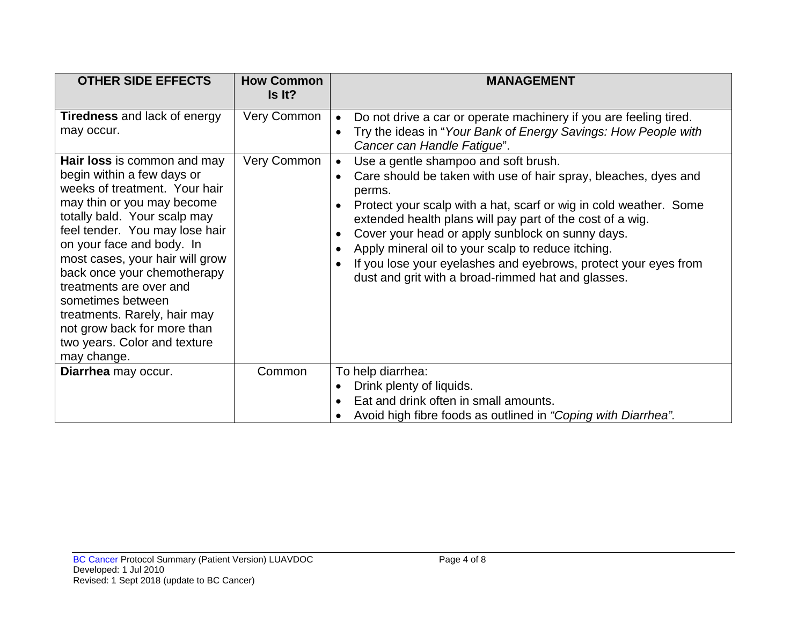| <b>OTHER SIDE EFFECTS</b>                                                                                                                                                                                                                                                                                                                                                                                                                                                                                    | <b>How Common</b><br>Is It? | <b>MANAGEMENT</b>                                                                                                                                                                                                                                                                                                                                                                                                                                                                                                                                                                                                                                                                                                                                       |
|--------------------------------------------------------------------------------------------------------------------------------------------------------------------------------------------------------------------------------------------------------------------------------------------------------------------------------------------------------------------------------------------------------------------------------------------------------------------------------------------------------------|-----------------------------|---------------------------------------------------------------------------------------------------------------------------------------------------------------------------------------------------------------------------------------------------------------------------------------------------------------------------------------------------------------------------------------------------------------------------------------------------------------------------------------------------------------------------------------------------------------------------------------------------------------------------------------------------------------------------------------------------------------------------------------------------------|
| <b>Tiredness</b> and lack of energy<br>may occur.<br>Hair loss is common and may<br>begin within a few days or<br>weeks of treatment. Your hair<br>may thin or you may become<br>totally bald. Your scalp may<br>feel tender. You may lose hair<br>on your face and body. In<br>most cases, your hair will grow<br>back once your chemotherapy<br>treatments are over and<br>sometimes between<br>treatments. Rarely, hair may<br>not grow back for more than<br>two years. Color and texture<br>may change. | Very Common<br>Very Common  | Do not drive a car or operate machinery if you are feeling tired.<br>$\bullet$<br>Try the ideas in "Your Bank of Energy Savings: How People with<br>$\bullet$<br>Cancer can Handle Fatigue".<br>Use a gentle shampoo and soft brush.<br>$\bullet$<br>Care should be taken with use of hair spray, bleaches, dyes and<br>$\bullet$<br>perms.<br>Protect your scalp with a hat, scarf or wig in cold weather. Some<br>$\bullet$<br>extended health plans will pay part of the cost of a wig.<br>Cover your head or apply sunblock on sunny days.<br>$\bullet$<br>Apply mineral oil to your scalp to reduce itching.<br>$\bullet$<br>If you lose your eyelashes and eyebrows, protect your eyes from<br>dust and grit with a broad-rimmed hat and glasses. |
| Diarrhea may occur.                                                                                                                                                                                                                                                                                                                                                                                                                                                                                          | Common                      | To help diarrhea:<br>Drink plenty of liquids.<br>Eat and drink often in small amounts.<br>$\bullet$<br>Avoid high fibre foods as outlined in "Coping with Diarrhea".                                                                                                                                                                                                                                                                                                                                                                                                                                                                                                                                                                                    |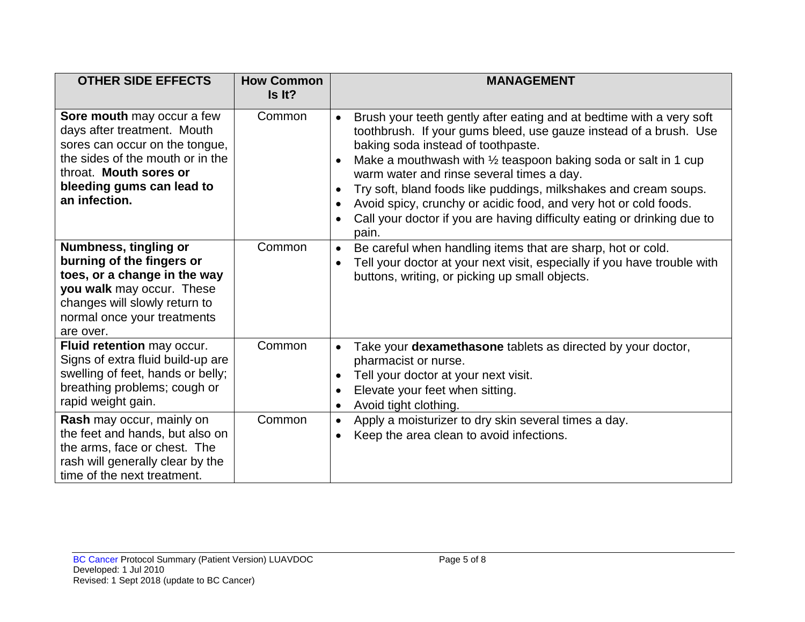| <b>OTHER SIDE EFFECTS</b>                                                                                                                                                                               | <b>How Common</b><br>Is It? | <b>MANAGEMENT</b>                                                                                                                                                                                                                                                                                                                                                                                                                                                                                                                                                  |
|---------------------------------------------------------------------------------------------------------------------------------------------------------------------------------------------------------|-----------------------------|--------------------------------------------------------------------------------------------------------------------------------------------------------------------------------------------------------------------------------------------------------------------------------------------------------------------------------------------------------------------------------------------------------------------------------------------------------------------------------------------------------------------------------------------------------------------|
| Sore mouth may occur a few<br>days after treatment. Mouth<br>sores can occur on the tongue,<br>the sides of the mouth or in the<br>throat. Mouth sores or<br>bleeding gums can lead to<br>an infection. | Common                      | Brush your teeth gently after eating and at bedtime with a very soft<br>$\bullet$<br>toothbrush. If your gums bleed, use gauze instead of a brush. Use<br>baking soda instead of toothpaste.<br>Make a mouthwash with 1/2 teaspoon baking soda or salt in 1 cup<br>warm water and rinse several times a day.<br>Try soft, bland foods like puddings, milkshakes and cream soups.<br>$\bullet$<br>Avoid spicy, crunchy or acidic food, and very hot or cold foods.<br>$\bullet$<br>Call your doctor if you are having difficulty eating or drinking due to<br>pain. |
| Numbness, tingling or<br>burning of the fingers or<br>toes, or a change in the way<br>you walk may occur. These<br>changes will slowly return to<br>normal once your treatments<br>are over.            | Common                      | Be careful when handling items that are sharp, hot or cold.<br>$\bullet$<br>Tell your doctor at your next visit, especially if you have trouble with<br>buttons, writing, or picking up small objects.                                                                                                                                                                                                                                                                                                                                                             |
| Fluid retention may occur.<br>Signs of extra fluid build-up are<br>swelling of feet, hands or belly;<br>breathing problems; cough or<br>rapid weight gain.                                              | Common                      | Take your dexamethasone tablets as directed by your doctor,<br>$\bullet$<br>pharmacist or nurse.<br>Tell your doctor at your next visit.<br>$\bullet$<br>Elevate your feet when sitting.<br>$\bullet$<br>Avoid tight clothing.<br>$\bullet$                                                                                                                                                                                                                                                                                                                        |
| Rash may occur, mainly on<br>the feet and hands, but also on<br>the arms, face or chest. The<br>rash will generally clear by the<br>time of the next treatment.                                         | Common                      | Apply a moisturizer to dry skin several times a day.<br>$\bullet$<br>Keep the area clean to avoid infections.<br>$\bullet$                                                                                                                                                                                                                                                                                                                                                                                                                                         |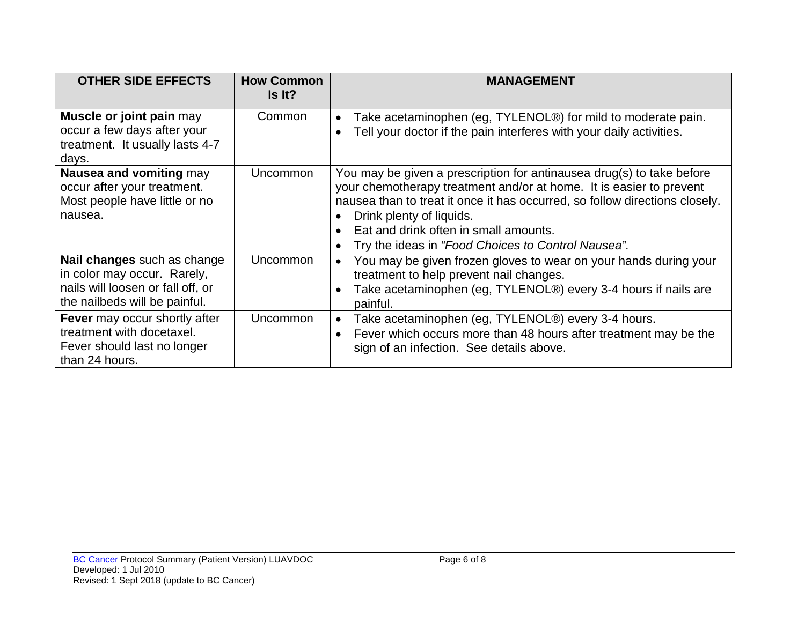| <b>OTHER SIDE EFFECTS</b>                                                                                                               | <b>How Common</b><br>Is It? | <b>MANAGEMENT</b>                                                                                                                                                                                                                                                                                                                                                                |
|-----------------------------------------------------------------------------------------------------------------------------------------|-----------------------------|----------------------------------------------------------------------------------------------------------------------------------------------------------------------------------------------------------------------------------------------------------------------------------------------------------------------------------------------------------------------------------|
| Muscle or joint pain may<br>occur a few days after your<br>treatment. It usually lasts 4-7<br>days.                                     | Common                      | Take acetaminophen (eg, TYLENOL®) for mild to moderate pain.<br>$\bullet$<br>Tell your doctor if the pain interferes with your daily activities.<br>$\bullet$                                                                                                                                                                                                                    |
| Nausea and vomiting may<br>occur after your treatment.<br>Most people have little or no<br>nausea.                                      | Uncommon                    | You may be given a prescription for antinausea drug(s) to take before<br>your chemotherapy treatment and/or at home. It is easier to prevent<br>nausea than to treat it once it has occurred, so follow directions closely.<br>Drink plenty of liquids.<br>$\bullet$<br>Eat and drink often in small amounts.<br>Try the ideas in "Food Choices to Control Nausea".<br>$\bullet$ |
| <b>Nail changes</b> such as change<br>in color may occur. Rarely,<br>nails will loosen or fall off, or<br>the nailbeds will be painful. | <b>Uncommon</b>             | You may be given frozen gloves to wear on your hands during your<br>$\bullet$<br>treatment to help prevent nail changes.<br>Take acetaminophen (eg, TYLENOL®) every 3-4 hours if nails are<br>$\bullet$<br>painful.                                                                                                                                                              |
| <b>Fever</b> may occur shortly after<br>treatment with docetaxel.<br>Fever should last no longer<br>than 24 hours.                      | <b>Uncommon</b>             | Take acetaminophen (eg, TYLENOL®) every 3-4 hours.<br>$\bullet$<br>Fever which occurs more than 48 hours after treatment may be the<br>$\bullet$<br>sign of an infection. See details above.                                                                                                                                                                                     |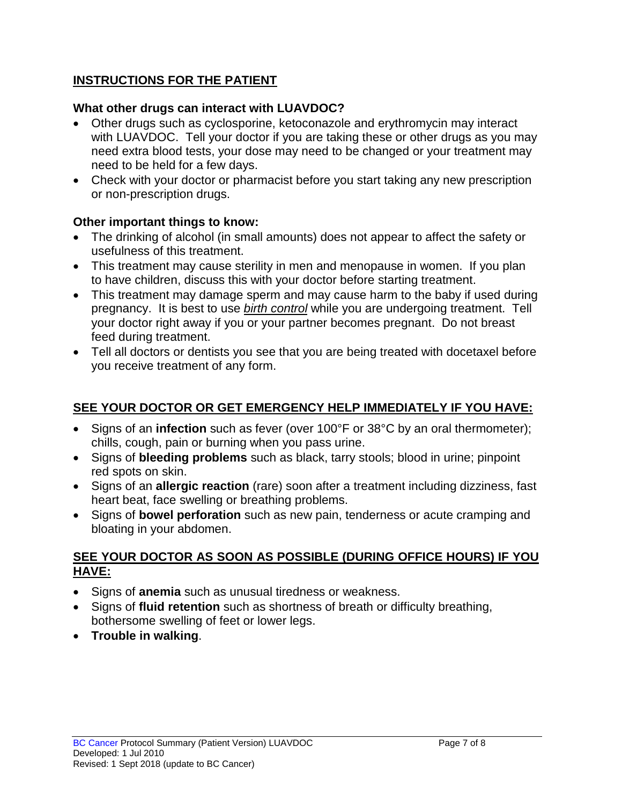## **INSTRUCTIONS FOR THE PATIENT**

#### **What other drugs can interact with LUAVDOC?**

- Other drugs such as cyclosporine, ketoconazole and erythromycin may interact with LUAVDOC. Tell your doctor if you are taking these or other drugs as you may need extra blood tests, your dose may need to be changed or your treatment may need to be held for a few days.
- Check with your doctor or pharmacist before you start taking any new prescription or non-prescription drugs.

### **Other important things to know:**

- The drinking of alcohol (in small amounts) does not appear to affect the safety or usefulness of this treatment.
- This treatment may cause sterility in men and menopause in women. If you plan to have children, discuss this with your doctor before starting treatment.
- This treatment may damage sperm and may cause harm to the baby if used during pregnancy. It is best to use *birth control* while you are undergoing treatment. Tell your doctor right away if you or your partner becomes pregnant. Do not breast feed during treatment.
- Tell all doctors or dentists you see that you are being treated with docetaxel before you receive treatment of any form.

# **SEE YOUR DOCTOR OR GET EMERGENCY HELP IMMEDIATELY IF YOU HAVE:**

- Signs of an **infection** such as fever (over 100°F or 38°C by an oral thermometer); chills, cough, pain or burning when you pass urine.
- Signs of **bleeding problems** such as black, tarry stools; blood in urine; pinpoint red spots on skin.
- Signs of an **allergic reaction** (rare) soon after a treatment including dizziness, fast heart beat, face swelling or breathing problems.
- Signs of **bowel perforation** such as new pain, tenderness or acute cramping and bloating in your abdomen.

#### **SEE YOUR DOCTOR AS SOON AS POSSIBLE (DURING OFFICE HOURS) IF YOU HAVE:**

- Signs of **anemia** such as unusual tiredness or weakness.
- Signs of **fluid retention** such as shortness of breath or difficulty breathing, bothersome swelling of feet or lower legs.
- **Trouble in walking**.